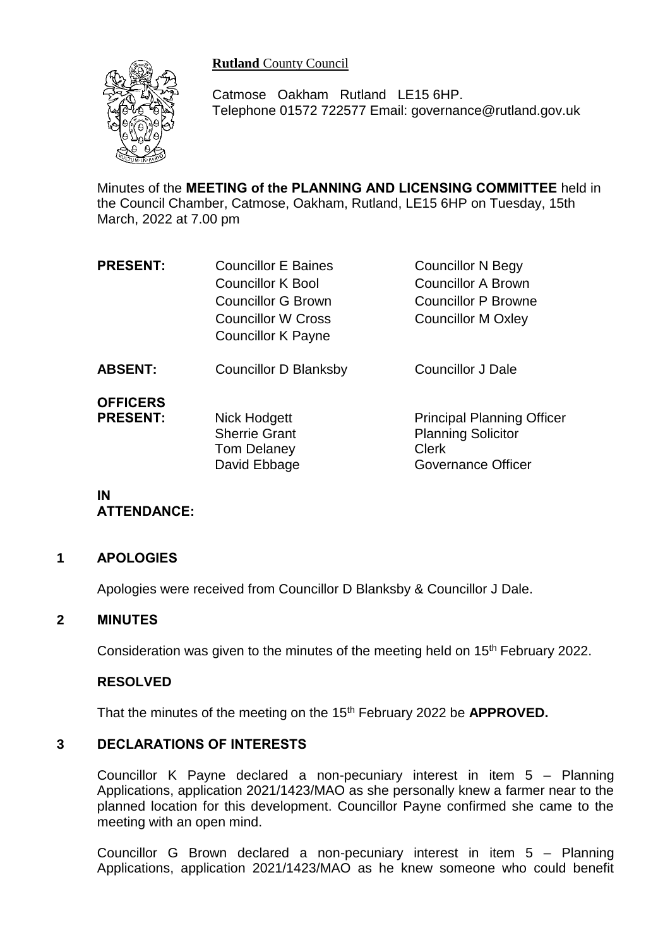**Rutland** County Council



Catmose Oakham Rutland LE15 6HP. Telephone 01572 722577 Email: governance@rutland.gov.uk

Minutes of the **MEETING of the PLANNING AND LICENSING COMMITTEE** held in the Council Chamber, Catmose, Oakham, Rutland, LE15 6HP on Tuesday, 15th March, 2022 at 7.00 pm

| <b>PRESENT:</b> | <b>Councillor E Baines</b> | <b>Councillor N Begy</b>          |
|-----------------|----------------------------|-----------------------------------|
|                 | <b>Councillor K Bool</b>   | <b>Councillor A Brown</b>         |
|                 | <b>Councillor G Brown</b>  | <b>Councillor P Browne</b>        |
|                 | <b>Councillor W Cross</b>  | <b>Councillor M Oxley</b>         |
|                 | <b>Councillor K Payne</b>  |                                   |
| <b>ABSENT:</b>  | Councillor D Blanksby      | <b>Councillor J Dale</b>          |
| <b>OFFICERS</b> |                            |                                   |
| <b>PRESENT:</b> | Nick Hodgett               | <b>Principal Planning Officer</b> |
|                 | <b>Sherrie Grant</b>       | <b>Planning Solicitor</b>         |
|                 | Tom Delaney                | <b>Clerk</b>                      |
|                 | David Ebbage               | Governance Officer                |

# **IN ATTENDANCE:**

### **1 APOLOGIES**

Apologies were received from Councillor D Blanksby & Councillor J Dale.

### **2 MINUTES**

Consideration was given to the minutes of the meeting held on 15<sup>th</sup> February 2022.

### **RESOLVED**

That the minutes of the meeting on the 15th February 2022 be **APPROVED.**

# **3 DECLARATIONS OF INTERESTS**

Councillor K Payne declared a non-pecuniary interest in item 5 – Planning Applications, application 2021/1423/MAO as she personally knew a farmer near to the planned location for this development. Councillor Payne confirmed she came to the meeting with an open mind.

Councillor G Brown declared a non-pecuniary interest in item 5 – Planning Applications, application 2021/1423/MAO as he knew someone who could benefit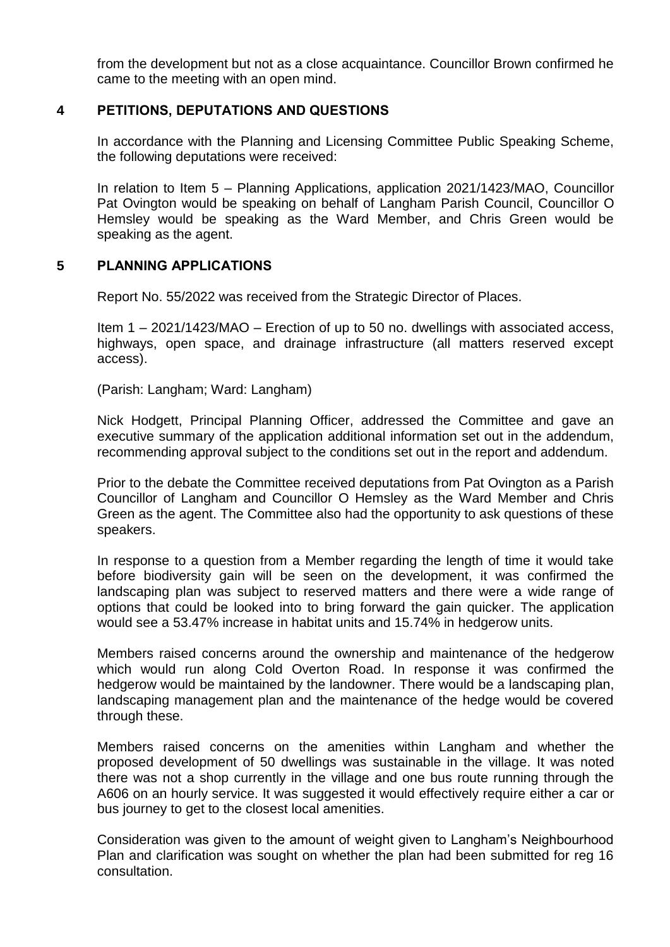from the development but not as a close acquaintance. Councillor Brown confirmed he came to the meeting with an open mind.

## **4 PETITIONS, DEPUTATIONS AND QUESTIONS**

In accordance with the Planning and Licensing Committee Public Speaking Scheme, the following deputations were received:

In relation to Item 5 – Planning Applications, application 2021/1423/MAO, Councillor Pat Ovington would be speaking on behalf of Langham Parish Council, Councillor O Hemsley would be speaking as the Ward Member, and Chris Green would be speaking as the agent.

### **5 PLANNING APPLICATIONS**

Report No. 55/2022 was received from the Strategic Director of Places.

Item 1 – 2021/1423/MAO – Erection of up to 50 no. dwellings with associated access, highways, open space, and drainage infrastructure (all matters reserved except access).

(Parish: Langham; Ward: Langham)

Nick Hodgett, Principal Planning Officer, addressed the Committee and gave an executive summary of the application additional information set out in the addendum, recommending approval subject to the conditions set out in the report and addendum.

Prior to the debate the Committee received deputations from Pat Ovington as a Parish Councillor of Langham and Councillor O Hemsley as the Ward Member and Chris Green as the agent. The Committee also had the opportunity to ask questions of these speakers.

In response to a question from a Member regarding the length of time it would take before biodiversity gain will be seen on the development, it was confirmed the landscaping plan was subject to reserved matters and there were a wide range of options that could be looked into to bring forward the gain quicker. The application would see a 53.47% increase in habitat units and 15.74% in hedgerow units.

Members raised concerns around the ownership and maintenance of the hedgerow which would run along Cold Overton Road. In response it was confirmed the hedgerow would be maintained by the landowner. There would be a landscaping plan, landscaping management plan and the maintenance of the hedge would be covered through these.

Members raised concerns on the amenities within Langham and whether the proposed development of 50 dwellings was sustainable in the village. It was noted there was not a shop currently in the village and one bus route running through the A606 on an hourly service. It was suggested it would effectively require either a car or bus journey to get to the closest local amenities.

Consideration was given to the amount of weight given to Langham's Neighbourhood Plan and clarification was sought on whether the plan had been submitted for reg 16 consultation.